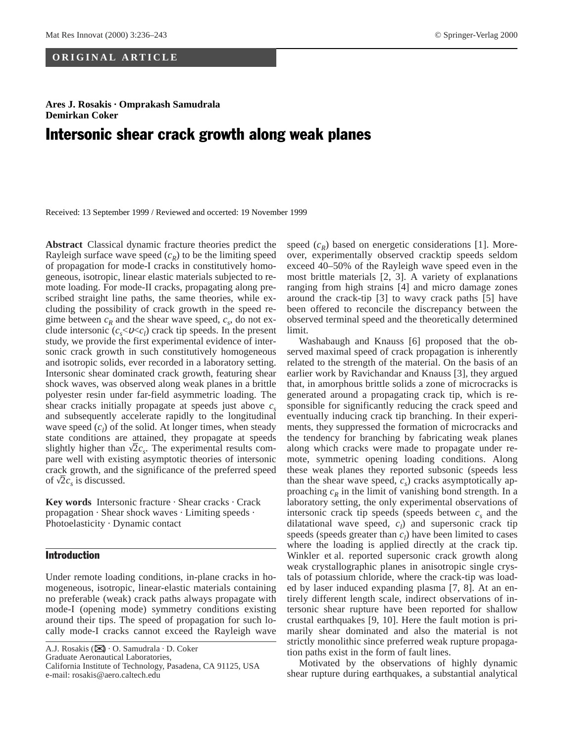### **ORIGINAL ARTICLE**

## **Ares J. Rosakis · Omprakash Samudrala Demirkan Coker**

# Intersonic shear crack growth along weak planes

Received: 13 September 1999 / Reviewed and occerted: 19 November 1999

**Abstract** Classical dynamic fracture theories predict the Rayleigh surface wave speed  $(c_R)$  to be the limiting speed of propagation for mode-I cracks in constitutively homogeneous, isotropic, linear elastic materials subjected to remote loading. For mode-II cracks, propagating along prescribed straight line paths, the same theories, while excluding the possibility of crack growth in the speed regime between  $c_R$  and the shear wave speed,  $c_s$ , do not exclude intersonic  $(c_s < v < c_l)$  crack tip speeds. In the present study, we provide the first experimental evidence of intersonic crack growth in such constitutively homogeneous and isotropic solids, ever recorded in a laboratory setting. Intersonic shear dominated crack growth, featuring shear shock waves, was observed along weak planes in a brittle polyester resin under far-field asymmetric loading. The shear cracks initially propagate at speeds just above  $c_s$ and subsequently accelerate rapidly to the longitudinal wave speed  $(c_l)$  of the solid. At longer times, when steady state conditions are attained, they propagate at speeds state conditions are attained, they propagate at speeds slightly higher than  $\sqrt{2}c_s$ . The experimental results compare well with existing asymptotic theories of intersonic crack growth, and the significance of the preferred speed<br>of  $\sqrt{2}$  a is discussed of  $\sqrt{2}c_s$  is discussed.

**Key words** Intersonic fracture · Shear cracks · Crack propagation · Shear shock waves · Limiting speeds · Photoelasticity · Dynamic contact

#### Introduction

Under remote loading conditions, in-plane cracks in homogeneous, isotropic, linear-elastic materials containing no preferable (weak) crack paths always propagate with mode-I (opening mode) symmetry conditions existing around their tips. The speed of propagation for such locally mode-I cracks cannot exceed the Rayleigh wave

Graduate Aeronautical Laboratories,

speed  $(c_R)$  based on energetic considerations [1]. Moreover, experimentally observed cracktip speeds seldom exceed 40–50% of the Rayleigh wave speed even in the most brittle materials [2, 3]. A variety of explanations ranging from high strains [4] and micro damage zones around the crack-tip [3] to wavy crack paths [5] have been offered to reconcile the discrepancy between the observed terminal speed and the theoretically determined limit.

Washabaugh and Knauss [6] proposed that the observed maximal speed of crack propagation is inherently related to the strength of the material. On the basis of an earlier work by Ravichandar and Knauss [3], they argued that, in amorphous brittle solids a zone of microcracks is generated around a propagating crack tip, which is responsible for significantly reducing the crack speed and eventually inducing crack tip branching. In their experiments, they suppressed the formation of microcracks and the tendency for branching by fabricating weak planes along which cracks were made to propagate under remote, symmetric opening loading conditions. Along these weak planes they reported subsonic (speeds less than the shear wave speed,  $c_s$ ) cracks asymptotically approaching  $c_R$  in the limit of vanishing bond strength. In a laboratory setting, the only experimental observations of intersonic crack tip speeds (speeds between  $c_s$  and the dilatational wave speed,  $c_l$ ) and supersonic crack tip speeds (speeds greater than  $c_l$ ) have been limited to cases where the loading is applied directly at the crack tip. Winkler et al. reported supersonic crack growth along weak crystallographic planes in anisotropic single crystals of potassium chloride, where the crack-tip was loaded by laser induced expanding plasma [7, 8]. At an entirely different length scale, indirect observations of intersonic shear rupture have been reported for shallow crustal earthquakes [9, 10]. Here the fault motion is primarily shear dominated and also the material is not strictly monolithic since preferred weak rupture propagation paths exist in the form of fault lines.

Motivated by the observations of highly dynamic shear rupture during earthquakes, a substantial analytical

A.J. Rosakis ( $\boxtimes$ ) · O. Samudrala · D. Coker

California Institute of Technology, Pasadena, CA 91125, USA e-mail: rosakis@aero.caltech.edu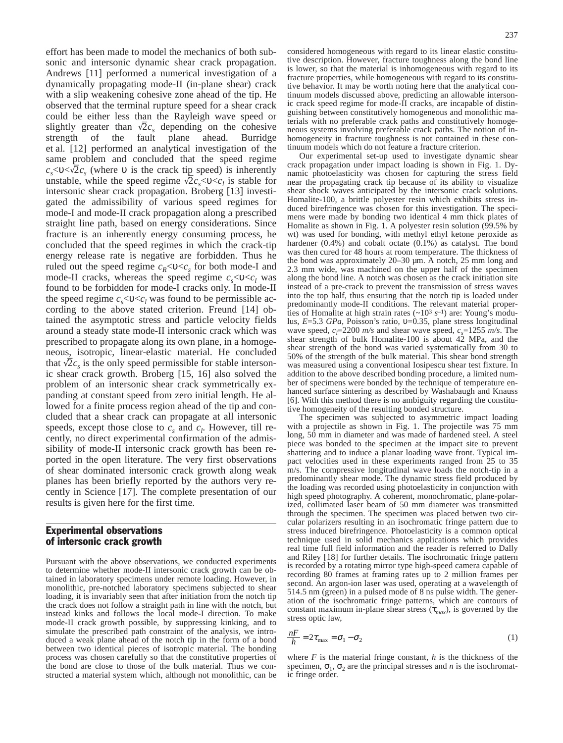effort has been made to model the mechanics of both subsonic and intersonic dynamic shear crack propagation. Andrews [11] performed a numerical investigation of a dynamically propagating mode-II (in-plane shear) crack with a slip weakening cohesive zone ahead of the tip. He observed that the terminal rupture speed for a shear crack could be either less than the Rayleigh wave speed or slightly greater than  $\sqrt{2}c_s$  depending on the cohesive strength of the fault plane ahead. Burridge et al. [12] performed an analytical investigation of the same problem and concluded that the speed regime  $c_s$ < $\sqrt{2}c_s$  (where v is the crack tip speed) is inherently  $c_s > 0 > \sqrt{2}c_s$  (where 0 is the clack up speed) is inherently<br>unstable, while the speed regime  $\sqrt{2}c_s < 0 < c_l$  is stable for intersonic shear crack propagation. Broberg [13] investigated the admissibility of various speed regimes for mode-I and mode-II crack propagation along a prescribed straight line path, based on energy considerations. Since fracture is an inherently energy consuming process, he concluded that the speed regimes in which the crack-tip energy release rate is negative are forbidden. Thus he ruled out the speed regime  $c_R < v < c_s$  for both mode-I and mode-II cracks, whereas the speed regime  $c_s < v < c_l$  was found to be forbidden for mode-I cracks only. In mode-II the speed regime  $c_s$ < $v$ < $c_t$  was found to be permissible according to the above stated criterion. Freund [14] obtained the asymptotic stress and particle velocity fields around a steady state mode-II intersonic crack which was prescribed to propagate along its own plane, in a homogeneous, isotropic, linear-elastic material. He concluded<br>that  $\sqrt{2}$  is the only speed permissible for stable intersor that  $\sqrt{2}c_s$  is the only speed permissible for stable intersonic shear crack growth. Broberg [15, 16] also solved the problem of an intersonic shear crack symmetrically expanding at constant speed from zero initial length. He allowed for a finite process region ahead of the tip and concluded that a shear crack can propagate at all intersonic speeds, except those close to  $c_s$  and  $c_l$ . However, till recently, no direct experimental confirmation of the admissibility of mode-II intersonic crack growth has been reported in the open literature. The very first observations of shear dominated intersonic crack growth along weak planes has been briefly reported by the authors very recently in Science [17]. The complete presentation of our results is given here for the first time.

#### Experimental observations of intersonic crack growth

Pursuant with the above observations, we conducted experiments to determine whether mode-II intersonic crack growth can be obtained in laboratory specimens under remote loading. However, in monolithic, pre-notched laboratory specimens subjected to shear loading, it is invariably seen that after initiation from the notch tip the crack does not follow a straight path in line with the notch, but instead kinks and follows the local mode-I direction. To make mode-II crack growth possible, by suppressing kinking, and to simulate the prescribed path constraint of the analysis, we introduced a weak plane ahead of the notch tip in the form of a bond between two identical pieces of isotropic material. The bonding process was chosen carefully so that the constitutive properties of the bond are close to those of the bulk material. Thus we constructed a material system which, although not monolithic, can be considered homogeneous with regard to its linear elastic constitutive description. However, fracture toughness along the bond line is lower, so that the material is inhomogeneous with regard to its fracture properties, while homogeneous with regard to its constitutive behavior. It may be worth noting here that the analytical continuum models discussed above, predicting an allowable intersonic crack speed regime for mode-II cracks, are incapable of distinguishing between constitutively homogeneous and monolithic materials with no preferable crack paths and constitutively homogeneous systems involving preferable crack paths. The notion of inhomogeneity in fracture toughness is not contained in these continuum models which do not feature a fracture criterion.

Our experimental set-up used to investigate dynamic shear crack propagation under impact loading is shown in Fig. 1. Dynamic photoelasticity was chosen for capturing the stress field near the propagating crack tip because of its ability to visualize shear shock waves anticipated by the intersonic crack solutions. Homalite-100, a brittle polyester resin which exhibits stress induced birefringence was chosen for this investigation. The specimens were made by bonding two identical 4 mm thick plates of Homalite as shown in Fig. 1. A polyester resin solution (99.5% by wt) was used for bonding, with methyl ethyl ketone peroxide as hardener (0.4%) and cobalt octate (0.1%) as catalyst. The bond was then cured for 48 hours at room temperature. The thickness of the bond was approximately 20–30 µm. A notch, 25 mm long and 2.3 mm wide, was machined on the upper half of the specimen along the bond line. A notch was chosen as the crack initiation site instead of a pre-crack to prevent the transmission of stress waves into the top half, thus ensuring that the notch tip is loaded under predominantly mode-II conditions. The relevant material properties of Homalite at high strain rates  $({\sim}10^3 \text{ s}^{-1})$  are: Young's modulus, *E*=5.3 *GPa*, Poisson's ratio, υ=0.35, plane stress longitudinal wave speed,  $c_l$ =2200 *m/s* and shear wave speed,  $c_s$ =1255 *m/s*. The shear strength of bulk Homalite-100 is about 42 MPa, and the shear strength of the bond was varied systematically from 30 to 50% of the strength of the bulk material. This shear bond strength was measured using a conventional Iosipescu shear test fixture. In addition to the above described bonding procedure, a limited number of specimens were bonded by the technique of temperature enhanced surface sintering as described by Washabaugh and Knauss [6]. With this method there is no ambiguity regarding the constitutive homogeneity of the resulting bonded structure.

The specimen was subjected to asymmetric impact loading with a projectile as shown in Fig. 1. The projectile was 75 mm long, 50 mm in diameter and was made of hardened steel. A steel piece was bonded to the specimen at the impact site to prevent shattering and to induce a planar loading wave front. Typical impact velocities used in these experiments ranged from 25 to 35 m/s. The compressive longitudinal wave loads the notch-tip in a predominantly shear mode. The dynamic stress field produced by the loading was recorded using photoelasticity in conjunction with high speed photography. A coherent, monochromatic, plane-polarized, collimated laser beam of 50 mm diameter was transmitted through the specimen. The specimen was placed betwen two circular polarizers resulting in an isochromatic fringe pattern due to stress induced birefringence. Photoelasticity is a common optical technique used in solid mechanics applications which provides real time full field information and the reader is referred to Dally and Riley [18] for further details. The isochromatic fringe pattern is recorded by a rotating mirror type high-speed camera capable of recording 80 frames at framing rates up to 2 million frames per second. An argon-ion laser was used, operating at a wavelength of 514.5 nm (green) in a pulsed mode of  $8$  ns pulse width. The generation of the isochromatic fringe patterns, which are contours of constant maximum in-plane shear stress  $(\tau_{max})$ , is governed by the stress optic law,

$$
\frac{nF}{h} = 2\tau_{\text{max}} = \sigma_1 - \sigma_2 \tag{1}
$$

where *F* is the material fringe constant, *h* is the thickness of the specimen,  $\sigma_1$ ,  $\sigma_2$  are the principal stresses and *n* is the isochromatic fringe order.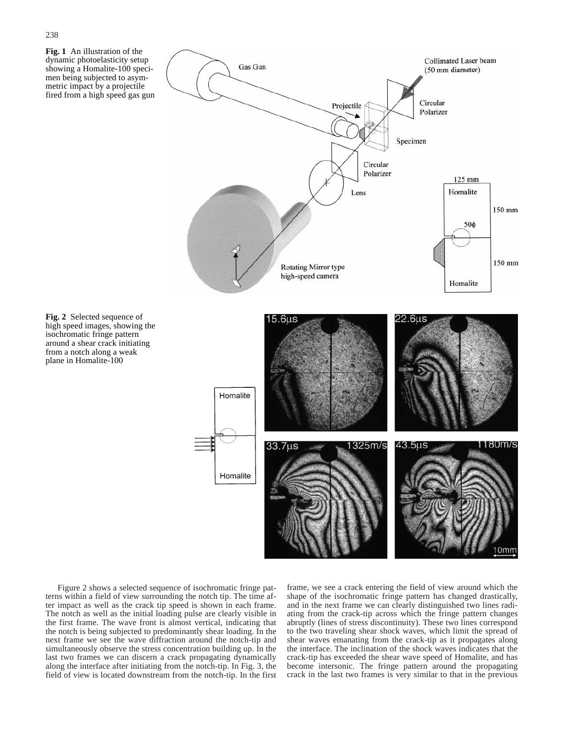**Fig. 1** An illustration of the dynamic photoelasticity setup showing a Homalite-100 specimen being subjected to asymmetric impact by a projectile fired from a high speed gas gun

**Fig. 2** Selected sequence of high speed images, showing the isochromatic fringe pattern around a shear crack initiating from a notch along a weak plane in Homalite-100



Figure 2 shows a selected sequence of isochromatic fringe patterns within a field of view surrounding the notch tip. The time after impact as well as the crack tip speed is shown in each frame. The notch as well as the initial loading pulse are clearly visible in the first frame. The wave front is almost vertical, indicating that the notch is being subjected to predominantly shear loading. In the next frame we see the wave diffraction around the notch-tip and simultaneously observe the stress concentration building up. In the last two frames we can discern a crack propagating dynamically along the interface after initiating from the notch-tip. In Fig. 3, the field of view is located downstream from the notch-tip. In the first frame, we see a crack entering the field of view around which the shape of the isochromatic fringe pattern has changed drastically, and in the next frame we can clearly distinguished two lines radiating from the crack-tip across which the fringe pattern changes abruptly (lines of stress discontinuity). These two lines correspond to the two traveling shear shock waves, which limit the spread of shear waves emanating from the crack-tip as it propagates along the interface. The inclination of the shock waves indicates that the crack-tip has exceeded the shear wave speed of Homalite, and has become intersonic. The fringe pattern around the propagating crack in the last two frames is very similar to that in the previous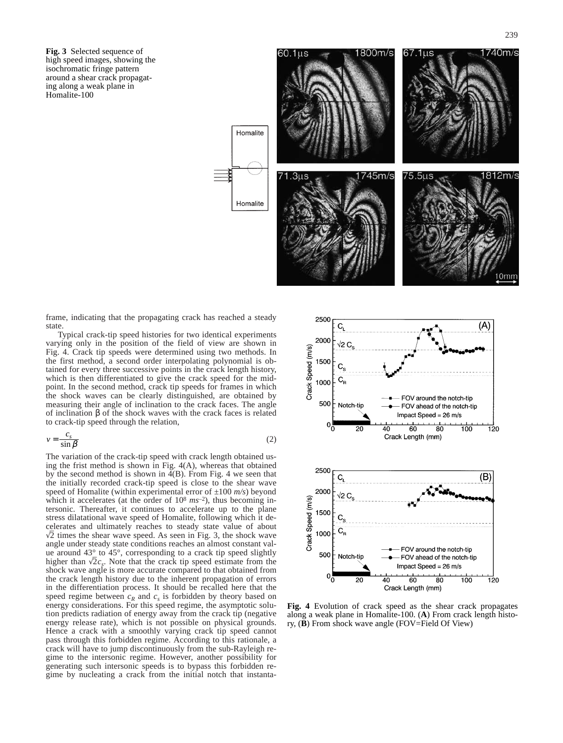**Fig. 3** Selected sequence of high speed images, showing the isochromatic fringe pattern around a shear crack propagating along a weak plane in Homalite-100



frame, indicating that the propagating crack has reached a steady state.

Typical crack-tip speed histories for two identical experiments varying only in the position of the field of view are shown in Fig. 4. Crack tip speeds were determined using two methods. In the first method, a second order interpolating polynomial is obtained for every three successive points in the crack length history, which is then differentiated to give the crack speed for the midpoint. In the second method, crack tip speeds for frames in which the shock waves can be clearly distinguished, are obtained by measuring their angle of inclination to the crack faces. The angle of inclination β of the shock waves with the crack faces is related to crack-tip speed through the relation,

$$
v = \frac{c_s}{\sin \beta} \tag{2}
$$

The variation of the crack-tip speed with crack length obtained using the frist method is shown in Fig. 4(A), whereas that obtained by the second method is shown in  $4(B)$ . From Fig. 4 we seen that the initially recorded crack-tip speed is close to the shear wave speed of Homalite (within experimental error of ±100 *m/s*) beyond which it accelerates (at the order of  $10^8$   $ms^{-2}$ ), thus becoming intersonic. Thereafter, it continues to accelerate up to the plane stress dilatational wave speed of Homalite, following which it decelerates and ultimately reaches to steady state value of about  $\sqrt{2}$  times the shear wave speed. As seen in Fig. 3, the shock wave  $\sqrt{2}$  times the shear wave speed. As seen in Fig. 3, the shock wave angle under steady state conditions reaches an almost constant value around 43° to 45°, corresponding to a crack tip speed slightly higher than  $\sqrt{2}c_s$ . Note that the crack tip speed estimate from the shock wave angle is more accurate compared to that obtained from the crack length history due to the inherent propagation of errors in the differentiation process. It should be recalled here that the speed regime between  $c_R$  and  $c_s$  is forbidden by theory based on energy considerations. For this speed regime, the asymptotic solution predicts radiation of energy away from the crack tip (negative energy release rate), which is not possible on physical grounds. Hence a crack with a smoothly varying crack tip speed cannot pass through this forbidden regime. According to this rationale, a crack will have to jump discontinuously from the sub-Rayleigh regime to the intersonic regime. However, another possibility for generating such intersonic speeds is to bypass this forbidden regime by nucleating a crack from the initial notch that instanta-



**Fig. 4** Evolution of crack speed as the shear crack propagates along a weak plane in Homalite-100. (**A**) From crack length history, (**B**) From shock wave angle (FOV=Field Of View)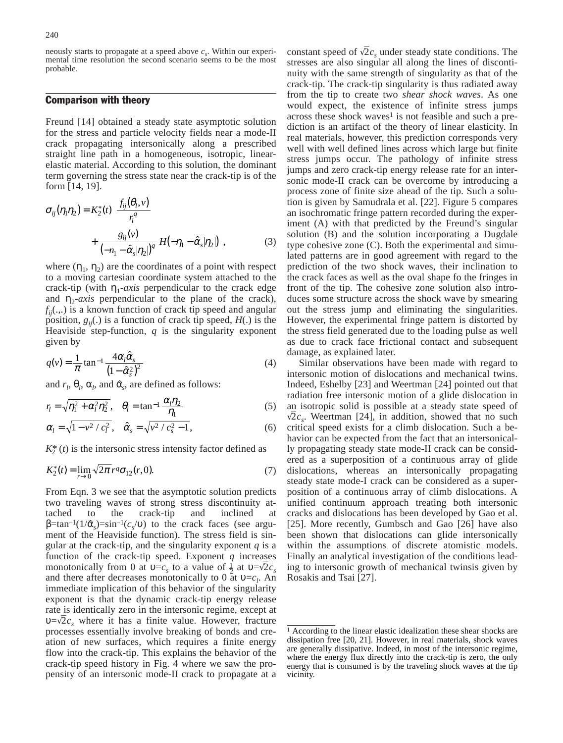neously starts to propagate at a speed above  $c<sub>s</sub>$ . Within our experimental time resolution the second scenario seems to be the most probable.

#### Comparison with theory

Freund [14] obtained a steady state asymptotic solution for the stress and particle velocity fields near a mode-II crack propagating intersonically along a prescribed straight line path in a homogeneous, isotropic, linearelastic material. According to this solution, the dominant term governing the stress state near the crack-tip is of the form [14, 19].

$$
\sigma_{ij}(\eta_1 \eta_2) = K_2^*(t) \left\{ \frac{f_{ij}(\theta_l, v)}{r_l^q} + \frac{g_{ij}(v)}{(-n_1 - \hat{\alpha}_s | \eta_2|)^q} H(-\eta_1 - \hat{\alpha}_s | \eta_2|) \right\},\tag{3}
$$

where  $(\eta_1, \eta_2)$  are the coordinates of a point with respect to a moving cartesian coordinate system attached to the crack-tip (with  $\eta_1$ -*axis* perpendicular to the crack edge and  $\eta_2$ -*axis* perpendicular to the plane of the crack),  $f_{ij}$ (...) is a known function of crack tip speed and angular position,  $g_{ii}(.)$  is a function of crack tip speed,  $H(.)$  is the Heaviside step-function, *q* is the singularity exponent given by

$$
q(v) = \frac{1}{\pi} \tan^{-1} \frac{4\alpha_i \hat{\alpha}_s}{\left(1 - \hat{\alpha}_s^2\right)^2} \tag{4}
$$

and  $r_l$ ,  $\theta_l$ ,  $\alpha_l$ , and  $\hat{\alpha}_s$ , are defined as follows:

$$
r_l = \sqrt{\eta_1^2 + \alpha_l^2 \eta_2^2}, \quad \theta_l = \tan^{-1} \frac{\alpha_l \eta_2}{\eta_1}
$$
 (5)

$$
\alpha_l = \sqrt{1 - v^2 / c_l^2}, \quad \hat{\alpha}_s = \sqrt{v^2 / c_s^2 - 1}, \tag{6}
$$

 $K_2^*(t)$  is the intersonic stress intensity factor defined as

$$
K_2^*(t) = \lim_{r \to 0} \sqrt{2\pi} \, r^q \sigma_{12}(r, 0). \tag{7}
$$

From Eqn. 3 we see that the asymptotic solution predicts two traveling waves of strong stress discontinuity attached to the crack-tip and inclined at  $β = tan^{-1}(1/α<sub>c</sub>) = sin^{-1}(c<sub>c</sub>/υ)$  to the crack faces (see argument of the Heaviside function). The stress field is singular at the crack-tip, and the singularity exponent *q* is a function of the crack-tip speed. Exponent *q* increases monotonically from 0 at  $v=c_s$  to a value of  $\frac{1}{2}$  at  $v=\sqrt{2}c_s$ and there after decreases monotonically to 0 at  $v = c_l$ . An immediate implication of this behavior of the singularity exponent is that the dynamic crack-tip energy release rate is identically zero in the intersonic regime, except at  $\sum_{n=1}^{\infty}$  a where it has a finite value. However, fracture  $v=\sqrt{2}c_s$  where it has a finite value. However, fracture processes essentially involve breaking of bonds and creation of new surfaces, which requires a finite energy flow into the crack-tip. This explains the behavior of the crack-tip speed history in Fig. 4 where we saw the propensity of an intersonic mode-II crack to propagate at a

constant speed of  $\sqrt{2}c_s$  under steady state conditions. The stresses are also singular all along the lines of discontinuity with the same strength of singularity as that of the crack-tip. The crack-tip singularity is thus radiated away from the tip to create two *shear shock waves*. As one would expect, the existence of infinite stress jumps across these shock waves<sup>1</sup> is not feasible and such a prediction is an artifact of the theory of linear elasticity. In real materials, however, this prediction corresponds very well with well defined lines across which large but finite stress jumps occur. The pathology of infinite stress jumps and zero crack-tip energy release rate for an intersonic mode-II crack can be overcome by introducing a process zone of finite size ahead of the tip. Such a solution is given by Samudrala et al. [22]. Figure 5 compares an isochromatic fringe pattern recorded during the experiment (A) with that predicted by the Freund's singular solution (B) and the solution incorporating a Dugdale type cohesive zone (C). Both the experimental and simulated patterns are in good agreement with regard to the prediction of the two shock waves, their inclination to the crack faces as well as the oval shape fo the fringes in front of the tip. The cohesive zone solution also introduces some structure across the shock wave by smearing out the stress jump and eliminating the singularities. However, the experimental fringe pattern is distorted by the stress field generated due to the loading pulse as well as due to crack face frictional contact and subsequent damage, as explained later.

Similar observations have been made with regard to intersonic motion of dislocations and mechanical twins. Indeed, Eshelby [23] and Weertman [24] pointed out that radiation free intersonic motion of a glide dislocation in an isotropic solid is possible at a steady state speed of  $\sqrt{2}$ . Weather 5241 in addition abound that no such  $\sqrt{2}c_s$ . Weertman [24], in addition, showed that no such critical speed exists for a climb dislocation. Such a behavior can be expected from the fact that an intersonically propagating steady state mode-II crack can be considered as a superposition of a continuous array of glide dislocations, whereas an intersonically propagating steady state mode-I crack can be considered as a superposition of a continuous array of climb dislocations. A unified continuum approach treating both intersonic cracks and dislocations has been developed by Gao et al. [25]. More recently, Gumbsch and Gao [26] have also been shown that dislocations can glide intersonically within the assumptions of discrete atomistic models. Finally an analytical investigation of the conditions leading to intersonic growth of mechanical twinsis given by Rosakis and Tsai [27].

<sup>&</sup>lt;sup>1</sup> According to the linear elastic idealization these shear shocks are dissipation free [20, 21]. However, in real materials, shock waves are generally dissipative. Indeed, in most of the intersonic regime, where the energy flux directly into the crack-tip is zero, the only energy that is consumed is by the traveling shock waves at the tip vicinity.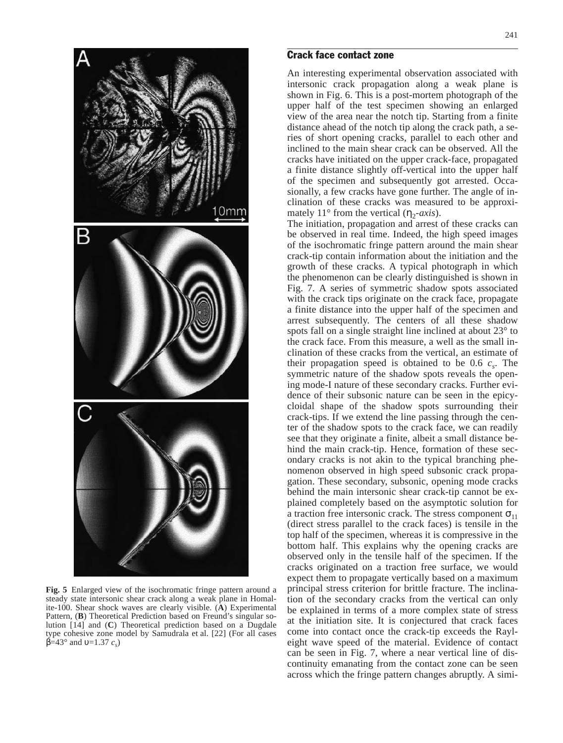

**Fig. 5** Enlarged view of the isochromatic fringe pattern around a steady state intersonic shear crack along a weak plane in Homalite-100. Shear shock waves are clearly visible. (**A**) Experimental Pattern, (**B**) Theoretical Prediction based on Freund's singular solution [14] and (**C**) Theoretical prediction based on a Dugdale type cohesive zone model by Samudrala et al. [22] (For all cases  $β=43°$  and  $υ=1.37$  *c<sub>s</sub>*)

#### Crack face contact zone

An interesting experimental observation associated with intersonic crack propagation along a weak plane is shown in Fig. 6. This is a post-mortem photograph of the upper half of the test specimen showing an enlarged view of the area near the notch tip. Starting from a finite distance ahead of the notch tip along the crack path, a series of short opening cracks, parallel to each other and inclined to the main shear crack can be observed. All the cracks have initiated on the upper crack-face, propagated a finite distance slightly off-vertical into the upper half of the specimen and subsequently got arrested. Occasionally, a few cracks have gone further. The angle of inclination of these cracks was measured to be approximately 11° from the vertical  $(\eta_2$ -*axis*).

The initiation, propagation and arrest of these cracks can be observed in real time. Indeed, the high speed images of the isochromatic fringe pattern around the main shear crack-tip contain information about the initiation and the growth of these cracks. A typical photograph in which the phenomenon can be clearly distinguished is shown in Fig. 7. A series of symmetric shadow spots associated with the crack tips originate on the crack face, propagate a finite distance into the upper half of the specimen and arrest subsequently. The centers of all these shadow spots fall on a single straight line inclined at about 23° to the crack face. From this measure, a well as the small inclination of these cracks from the vertical, an estimate of their propagation speed is obtained to be 0.6  $c_s$ . The symmetric nature of the shadow spots reveals the opening mode-I nature of these secondary cracks. Further evidence of their subsonic nature can be seen in the epicycloidal shape of the shadow spots surrounding their crack-tips. If we extend the line passing through the center of the shadow spots to the crack face, we can readily see that they originate a finite, albeit a small distance behind the main crack-tip. Hence, formation of these secondary cracks is not akin to the typical branching phenomenon observed in high speed subsonic crack propagation. These secondary, subsonic, opening mode cracks behind the main intersonic shear crack-tip cannot be explained completely based on the asymptotic solution for a traction free intersonic crack. The stress component  $\sigma_{11}$ (direct stress parallel to the crack faces) is tensile in the top half of the specimen, whereas it is compressive in the bottom half. This explains why the opening cracks are observed only in the tensile half of the specimen. If the cracks originated on a traction free surface, we would expect them to propagate vertically based on a maximum principal stress criterion for brittle fracture. The inclination of the secondary cracks from the vertical can only be explained in terms of a more complex state of stress at the initiation site. It is conjectured that crack faces come into contact once the crack-tip exceeds the Rayleight wave speed of the material. Evidence of contact can be seen in Fig. 7, where a near vertical line of discontinuity emanating from the contact zone can be seen across which the fringe pattern changes abruptly. A simi-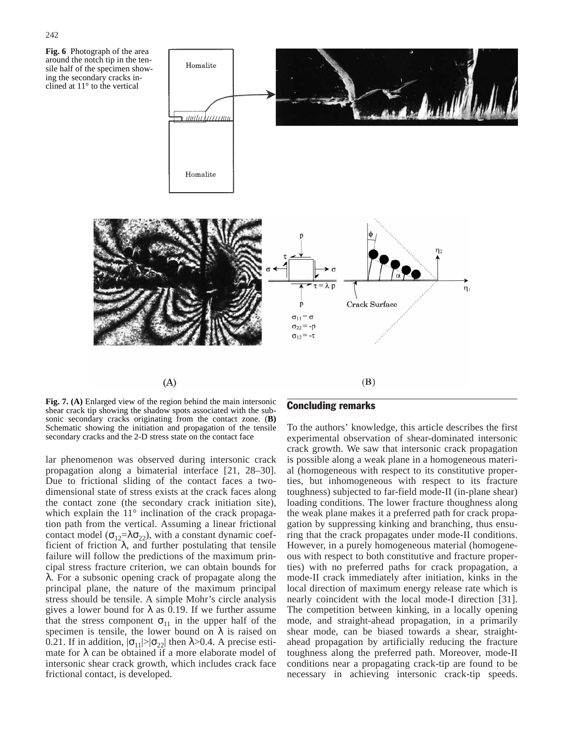



**Fig. 7. (A)** Enlarged view of the region behind the main intersonic shear crack tip showing the shadow spots associated with the subsonic secondary cracks originating from the contact zone. (**B)** Schematic showing the initiation and propagation of the tensile secondary cracks and the 2-D stress state on the contact face

lar phenomenon was observed during intersonic crack propagation along a bimaterial interface [21, 28–30]. Due to frictional sliding of the contact faces a twodimensional state of stress exists at the crack faces along the contact zone (the secondary crack initiation site), which explain the 11° inclination of the crack propagation path from the vertical. Assuming a linear frictional contact model ( $\sigma_{12}=\lambda \sigma_{22}$ ), with a constant dynamic coefficient of friction  $\lambda$ , and further postulating that tensile failure will follow the predictions of the maximum principal stress fracture criterion, we can obtain bounds for λ. For a subsonic opening crack of propagate along the principal plane, the nature of the maximum principal stress should be tensile. A simple Mohr's circle analysis gives a lower bound for  $\lambda$  as 0.19. If we further assume that the stress component  $\sigma_{11}$  in the upper half of the specimen is tensile, the lower bound on  $\lambda$  is raised on 0.21. If in addition,  $|\sigma_{11}| > |\sigma_{22}|$  then  $\lambda > 0.4$ . A precise estimate for  $\lambda$  can be obtained if a more elaborate model of intersonic shear crack growth, which includes crack face frictional contact, is developed.

#### Concluding remarks

To the authors' knowledge, this article describes the first experimental observation of shear-dominated intersonic crack growth. We saw that intersonic crack propagation is possible along a weak plane in a homogeneous material (homogeneous with respect to its constitutive properties, but inhomogeneous with respect to its fracture toughness) subjected to far-field mode-II (in-plane shear) loading conditions. The lower fracture thoughness along the weak plane makes it a preferred path for crack propagation by suppressing kinking and branching, thus ensuring that the crack propagates under mode-II conditions. However, in a purely homogeneous material (homogeneous with respect to both constitutive and fracture properties) with no preferred paths for crack propagation, a mode-II crack immediately after initiation, kinks in the local direction of maximum energy release rate which is nearly coincident with the local mode-I direction [31]. The competition between kinking, in a locally opening mode, and straight-ahead propagation, in a primarily shear mode, can be biased towards a shear, straightahead propagation by artificially reducing the fracture toughness along the preferred path. Moreover, mode-II conditions near a propagating crack-tip are found to be necessary in achieving intersonic crack-tip speeds.